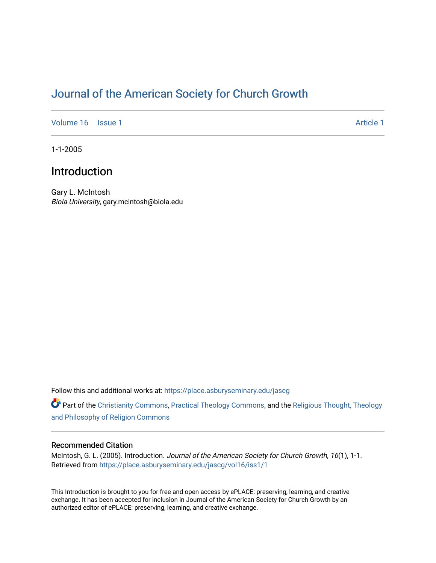# [Journal of the American Society for Church Growth](https://place.asburyseminary.edu/jascg)

[Volume 16](https://place.asburyseminary.edu/jascg/vol16) | [Issue 1](https://place.asburyseminary.edu/jascg/vol16/iss1) Article 1

1-1-2005

## Introduction

Gary L. McIntosh Biola University, gary.mcintosh@biola.edu

Follow this and additional works at: [https://place.asburyseminary.edu/jascg](https://place.asburyseminary.edu/jascg?utm_source=place.asburyseminary.edu%2Fjascg%2Fvol16%2Fiss1%2F1&utm_medium=PDF&utm_campaign=PDFCoverPages)

Part of the [Christianity Commons,](https://network.bepress.com/hgg/discipline/1181?utm_source=place.asburyseminary.edu%2Fjascg%2Fvol16%2Fiss1%2F1&utm_medium=PDF&utm_campaign=PDFCoverPages) [Practical Theology Commons](https://network.bepress.com/hgg/discipline/1186?utm_source=place.asburyseminary.edu%2Fjascg%2Fvol16%2Fiss1%2F1&utm_medium=PDF&utm_campaign=PDFCoverPages), and the [Religious Thought, Theology](https://network.bepress.com/hgg/discipline/544?utm_source=place.asburyseminary.edu%2Fjascg%2Fvol16%2Fiss1%2F1&utm_medium=PDF&utm_campaign=PDFCoverPages)  [and Philosophy of Religion Commons](https://network.bepress.com/hgg/discipline/544?utm_source=place.asburyseminary.edu%2Fjascg%2Fvol16%2Fiss1%2F1&utm_medium=PDF&utm_campaign=PDFCoverPages)

## Recommended Citation

McIntosh, G. L. (2005). Introduction. Journal of the American Society for Church Growth, 16(1), 1-1. Retrieved from [https://place.asburyseminary.edu/jascg/vol16/iss1/1](https://place.asburyseminary.edu/jascg/vol16/iss1/1?utm_source=place.asburyseminary.edu%2Fjascg%2Fvol16%2Fiss1%2F1&utm_medium=PDF&utm_campaign=PDFCoverPages)

This Introduction is brought to you for free and open access by ePLACE: preserving, learning, and creative exchange. It has been accepted for inclusion in Journal of the American Society for Church Growth by an authorized editor of ePLACE: preserving, learning, and creative exchange.